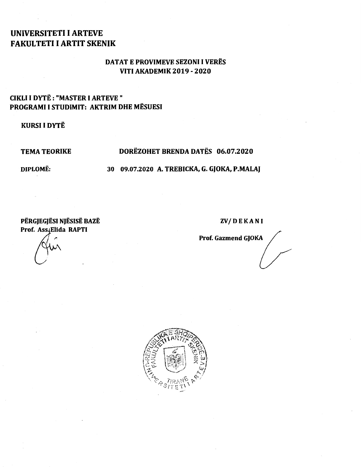# UNIVERSITETI I ARTEVE FAKULTETI I ARTIT SKENIK

### DATAT E PROVIMEVE SEZONI I VERES VITI AKADEMIK 2019- 2020

## CIKLI I DYTE : "MASTER I ARTEVE " PROGRAMI I STUDIMIT: AKTRIM DHE MESUESI

KURSI I DYTE

### TEMA TEORIKE DOREZOHET BRENDA DATES 06.07.2020

DIPLOME: 30 09.07.2020 A. TREBICKA, G. GJOKA, P.MALAJ

PËRGJEGJËSI NJËSISË BAZË ZV/DEKANI Prof. Ass. Elida RAPTI<br>
Prof. Gazmend GJOKA

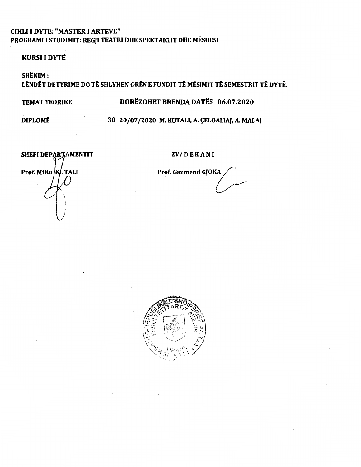## **CIKLI I DYTË: "MASTER I ARTEVE"** PROGRAMI I STUDIMIT: REGJI TEATRI DHE SPEKTAKLIT DHE MËSUESI

**KURSI I DYTË** 

SHËNIM: LËNDËT DETYRIME DO TË SHLYHEN ORËN E FUNDIT TË MËSIMIT TË SEMESTRIT TË DYTË.

**TEMAT TEORIKE** 

DORËZOHET BRENDA DATËS 06.07.2020

**DIPLOMË** 

### 30 20/07/2020 M. KUTALI, A. CELOALIAJ, A. MALAJ

SHEFI DEPARTAMENTIT Prof. Milto KUTALI

**ZV/DEKANI** 

Prof. Gazmend GJOKA

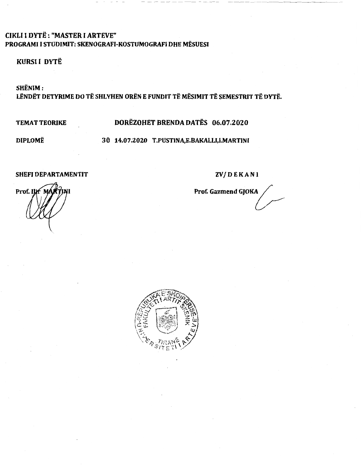## **CIKLI I DYTË: "MASTER I ARTEVE"** PROGRAMI I STUDIMIT: SKENOGRAFI-KOSTUMOGRAFI DHE MËSUESI

### KURSI I DYTË

SHËNIM:

LËNDËT DETYRIME DO TË SHLYHEN ORËN E FUNDIT TË MËSIMIT TË SEMESTRIT TË DYTË.

**TEMAT TEORIKE** 

## DORËZOHET BRENDA DATËS 06.07.2020

**DIPLOMË** 

30 14.07.2020 T.PUSTINA,E.BAKALLI,I.MARTINI

#### **SHEFI DEPARTAMENTIT**

**ZV/DEKANI** 

Prof. Gazmend GJOKA

Prof. Ilif M

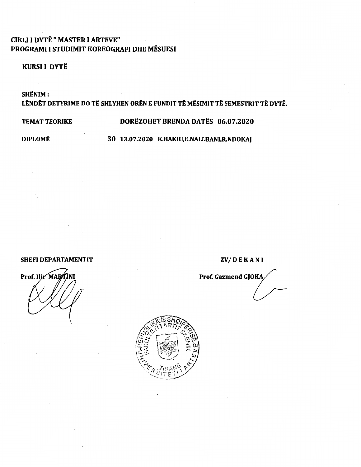## **CIKLI I DYTË " MASTER I ARTEVE"** PROGRAMI I STUDIMIT KOREOGRAFI DHE MËSUESI

### **KURSI I DYTË**

SHËNIM:

LËNDËT DETYRIME DO TË SHLYHEN ORËN E FUNDIT TË MËSIMIT TË SEMESTRIT TË DYTË.

**TEMAT TEORIKE** 

### DORËZOHET BRENDA DATËS 06.07.2020

**DIPLOMË** 

30 13.07.2020 K.BAKIU,E.NALLBANI,R.NDOKAJ

#### **SHEFI DEPARTAMENTIT**

Prof. Ilir MAR

**ZV/DEKANI** 

Prof. Gazmend GJOKA